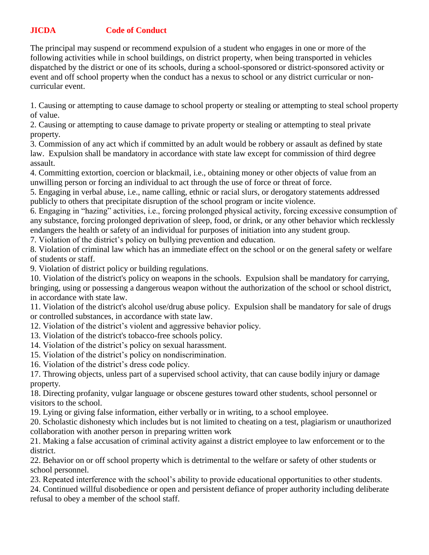## **JICDA Code of Conduct**

The principal may suspend or recommend expulsion of a student who engages in one or more of the following activities while in school buildings, on district property, when being transported in vehicles dispatched by the district or one of its schools, during a school-sponsored or district-sponsored activity or event and off school property when the conduct has a nexus to school or any district curricular or noncurricular event.

1. Causing or attempting to cause damage to school property or stealing or attempting to steal school property of value.

2. Causing or attempting to cause damage to private property or stealing or attempting to steal private property.

3. Commission of any act which if committed by an adult would be robbery or assault as defined by state law. Expulsion shall be mandatory in accordance with state law except for commission of third degree assault.

4. Committing extortion, coercion or blackmail, i.e., obtaining money or other objects of value from an unwilling person or forcing an individual to act through the use of force or threat of force.

5. Engaging in verbal abuse, i.e., name calling, ethnic or racial slurs, or derogatory statements addressed publicly to others that precipitate disruption of the school program or incite violence.

6. Engaging in "hazing" activities, i.e., forcing prolonged physical activity, forcing excessive consumption of any substance, forcing prolonged deprivation of sleep, food, or drink, or any other behavior which recklessly endangers the health or safety of an individual for purposes of initiation into any student group.

7. Violation of the district's policy on bullying prevention and education.

8. Violation of criminal law which has an immediate effect on the school or on the general safety or welfare of students or staff.

9. Violation of district policy or building regulations.

10. Violation of the district's policy on weapons in the schools. Expulsion shall be mandatory for carrying, bringing, using or possessing a dangerous weapon without the authorization of the school or school district, in accordance with state law.

11. Violation of the district's alcohol use/drug abuse policy. Expulsion shall be mandatory for sale of drugs or controlled substances, in accordance with state law.

12. Violation of the district's violent and aggressive behavior policy.

- 13. Violation of the district's tobacco-free schools policy.
- 14. Violation of the district's policy on sexual harassment.
- 15. Violation of the district's policy on nondiscrimination.
- 16. Violation of the district's dress code policy.

17. Throwing objects, unless part of a supervised school activity, that can cause bodily injury or damage property.

18. Directing profanity, vulgar language or obscene gestures toward other students, school personnel or visitors to the school.

19. Lying or giving false information, either verbally or in writing, to a school employee.

20. Scholastic dishonesty which includes but is not limited to cheating on a test, plagiarism or unauthorized collaboration with another person in preparing written work

21. Making a false accusation of criminal activity against a district employee to law enforcement or to the district.

22. Behavior on or off school property which is detrimental to the welfare or safety of other students or school personnel.

23. Repeated interference with the school's ability to provide educational opportunities to other students.

24. Continued willful disobedience or open and persistent defiance of proper authority including deliberate refusal to obey a member of the school staff.